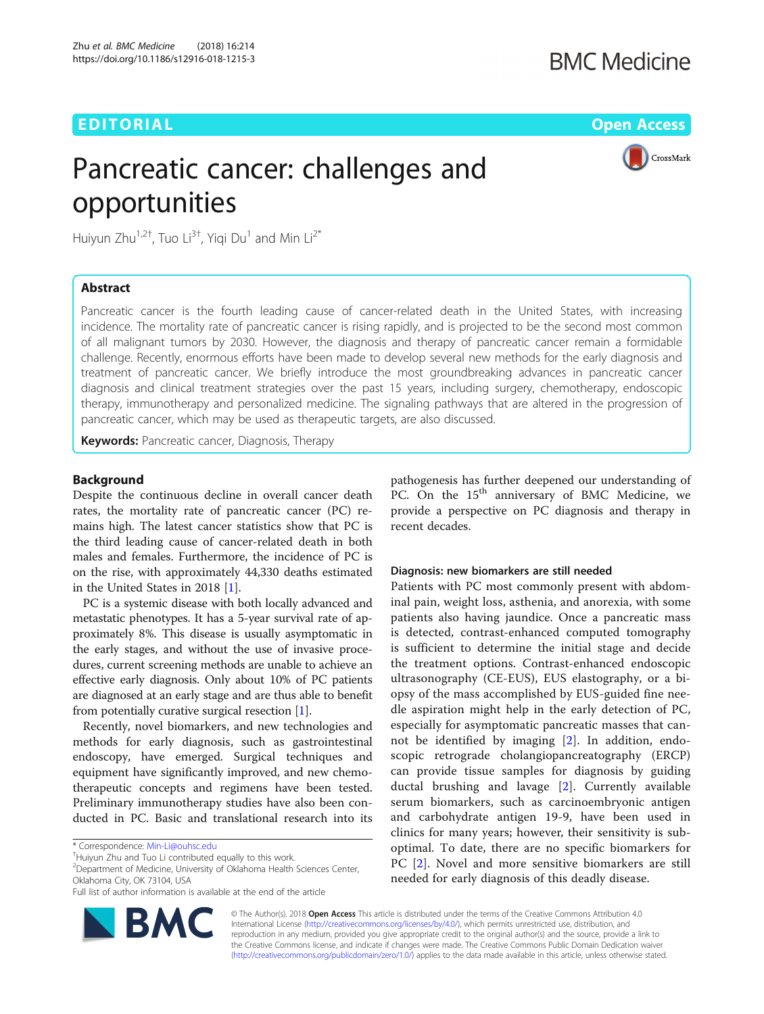## EDITORIAL AND Open Access to the contract of the contract of the contract of the contract of the contract of the contract of the contract of the contract of the contract of the contract of the contract of the contract of t

## **BMC Medicine**

# Pancreatic cancer: challenges and opportunities



Huiyun Zhu<sup>1,2†</sup>, Tuo Li<sup>3†</sup>, Yiqi Du<sup>1</sup> and Min Li<sup>2\*</sup>

## Abstract

Pancreatic cancer is the fourth leading cause of cancer-related death in the United States, with increasing incidence. The mortality rate of pancreatic cancer is rising rapidly, and is projected to be the second most common of all malignant tumors by 2030. However, the diagnosis and therapy of pancreatic cancer remain a formidable challenge. Recently, enormous efforts have been made to develop several new methods for the early diagnosis and treatment of pancreatic cancer. We briefly introduce the most groundbreaking advances in pancreatic cancer diagnosis and clinical treatment strategies over the past 15 years, including surgery, chemotherapy, endoscopic therapy, immunotherapy and personalized medicine. The signaling pathways that are altered in the progression of pancreatic cancer, which may be used as therapeutic targets, are also discussed.

Keywords: Pancreatic cancer, Diagnosis, Therapy

## Background

Despite the continuous decline in overall cancer death rates, the mortality rate of pancreatic cancer (PC) remains high. The latest cancer statistics show that PC is the third leading cause of cancer-related death in both males and females. Furthermore, the incidence of PC is on the rise, with approximately 44,330 deaths estimated in the United States in 2018 [[1\]](#page-2-0).

PC is a systemic disease with both locally advanced and metastatic phenotypes. It has a 5-year survival rate of approximately 8%. This disease is usually asymptomatic in the early stages, and without the use of invasive procedures, current screening methods are unable to achieve an effective early diagnosis. Only about 10% of PC patients are diagnosed at an early stage and are thus able to benefit from potentially curative surgical resection [\[1\]](#page-2-0).

Recently, novel biomarkers, and new technologies and methods for early diagnosis, such as gastrointestinal endoscopy, have emerged. Surgical techniques and equipment have significantly improved, and new chemotherapeutic concepts and regimens have been tested. Preliminary immunotherapy studies have also been conducted in PC. Basic and translational research into its

<sup>2</sup> Department of Medicine, University of Oklahoma Health Sciences Center, Oklahoma City, OK 73104, USA



## Diagnosis: new biomarkers are still needed

Patients with PC most commonly present with abdominal pain, weight loss, asthenia, and anorexia, with some patients also having jaundice. Once a pancreatic mass is detected, contrast-enhanced computed tomography is sufficient to determine the initial stage and decide the treatment options. Contrast-enhanced endoscopic ultrasonography (CE-EUS), EUS elastography, or a biopsy of the mass accomplished by EUS-guided fine needle aspiration might help in the early detection of PC, especially for asymptomatic pancreatic masses that cannot be identified by imaging [[2\]](#page-2-0). In addition, endoscopic retrograde cholangiopancreatography (ERCP) can provide tissue samples for diagnosis by guiding ductal brushing and lavage [[2\]](#page-2-0). Currently available serum biomarkers, such as carcinoembryonic antigen and carbohydrate antigen 19-9, have been used in clinics for many years; however, their sensitivity is suboptimal. To date, there are no specific biomarkers for PC [[2\]](#page-2-0). Novel and more sensitive biomarkers are still needed for early diagnosis of this deadly disease.



© The Author(s). 2018 Open Access This article is distributed under the terms of the Creative Commons Attribution 4.0 International License [\(http://creativecommons.org/licenses/by/4.0/](http://creativecommons.org/licenses/by/4.0/)), which permits unrestricted use, distribution, and reproduction in any medium, provided you give appropriate credit to the original author(s) and the source, provide a link to the Creative Commons license, and indicate if changes were made. The Creative Commons Public Domain Dedication waiver [\(http://creativecommons.org/publicdomain/zero/1.0/](http://creativecommons.org/publicdomain/zero/1.0/)) applies to the data made available in this article, unless otherwise stated.

<sup>\*</sup> Correspondence: [Min-Li@ouhsc.edu](mailto:Min-Li@ouhsc.edu) †

<sup>&</sup>lt;sup>+</sup>Huiyun Zhu and Tuo Li contributed equally to this work.

Full list of author information is available at the end of the article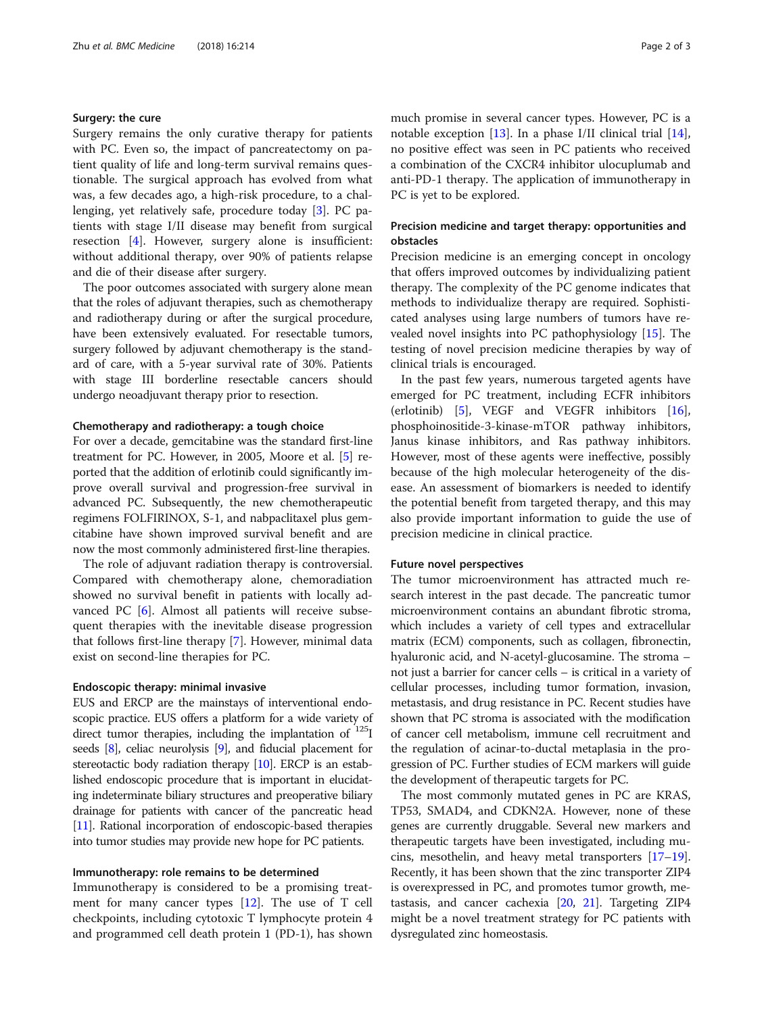## Surgery: the cure

Surgery remains the only curative therapy for patients with PC. Even so, the impact of pancreatectomy on patient quality of life and long-term survival remains questionable. The surgical approach has evolved from what was, a few decades ago, a high-risk procedure, to a challenging, yet relatively safe, procedure today [[3](#page-2-0)]. PC patients with stage I/II disease may benefit from surgical resection [\[4](#page-2-0)]. However, surgery alone is insufficient: without additional therapy, over 90% of patients relapse and die of their disease after surgery.

The poor outcomes associated with surgery alone mean that the roles of adjuvant therapies, such as chemotherapy and radiotherapy during or after the surgical procedure, have been extensively evaluated. For resectable tumors, surgery followed by adjuvant chemotherapy is the standard of care, with a 5-year survival rate of 30%. Patients with stage III borderline resectable cancers should undergo neoadjuvant therapy prior to resection.

## Chemotherapy and radiotherapy: a tough choice

For over a decade, gemcitabine was the standard first-line treatment for PC. However, in 2005, Moore et al. [\[5](#page-2-0)] reported that the addition of erlotinib could significantly improve overall survival and progression-free survival in advanced PC. Subsequently, the new chemotherapeutic regimens FOLFIRINOX, S-1, and nabpaclitaxel plus gemcitabine have shown improved survival benefit and are now the most commonly administered first-line therapies.

The role of adjuvant radiation therapy is controversial. Compared with chemotherapy alone, chemoradiation showed no survival benefit in patients with locally advanced PC [\[6](#page-2-0)]. Almost all patients will receive subsequent therapies with the inevitable disease progression that follows first-line therapy [\[7\]](#page-2-0). However, minimal data exist on second-line therapies for PC.

#### Endoscopic therapy: minimal invasive

EUS and ERCP are the mainstays of interventional endoscopic practice. EUS offers a platform for a wide variety of direct tumor therapies, including the implantation of <sup>125</sup>I seeds [\[8](#page-2-0)], celiac neurolysis [\[9\]](#page-2-0), and fiducial placement for stereotactic body radiation therapy [[10](#page-2-0)]. ERCP is an established endoscopic procedure that is important in elucidating indeterminate biliary structures and preoperative biliary drainage for patients with cancer of the pancreatic head [[11](#page-2-0)]. Rational incorporation of endoscopic-based therapies into tumor studies may provide new hope for PC patients.

## Immunotherapy: role remains to be determined

Immunotherapy is considered to be a promising treatment for many cancer types [\[12](#page-2-0)]. The use of T cell checkpoints, including cytotoxic T lymphocyte protein 4 and programmed cell death protein 1 (PD-1), has shown much promise in several cancer types. However, PC is a notable exception  $[13]$  $[13]$ . In a phase I/II clinical trial  $[14]$  $[14]$ , no positive effect was seen in PC patients who received a combination of the CXCR4 inhibitor ulocuplumab and anti-PD-1 therapy. The application of immunotherapy in PC is yet to be explored.

## Precision medicine and target therapy: opportunities and obstacles

Precision medicine is an emerging concept in oncology that offers improved outcomes by individualizing patient therapy. The complexity of the PC genome indicates that methods to individualize therapy are required. Sophisticated analyses using large numbers of tumors have revealed novel insights into PC pathophysiology [[15](#page-2-0)]. The testing of novel precision medicine therapies by way of clinical trials is encouraged.

In the past few years, numerous targeted agents have emerged for PC treatment, including ECFR inhibitors (erlotinib) [[5](#page-2-0)], VEGF and VEGFR inhibitors [\[16](#page-2-0)], phosphoinositide-3-kinase-mTOR pathway inhibitors, Janus kinase inhibitors, and Ras pathway inhibitors. However, most of these agents were ineffective, possibly because of the high molecular heterogeneity of the disease. An assessment of biomarkers is needed to identify the potential benefit from targeted therapy, and this may also provide important information to guide the use of precision medicine in clinical practice.

#### Future novel perspectives

The tumor microenvironment has attracted much research interest in the past decade. The pancreatic tumor microenvironment contains an abundant fibrotic stroma, which includes a variety of cell types and extracellular matrix (ECM) components, such as collagen, fibronectin, hyaluronic acid, and N-acetyl-glucosamine. The stroma – not just a barrier for cancer cells – is critical in a variety of cellular processes, including tumor formation, invasion, metastasis, and drug resistance in PC. Recent studies have shown that PC stroma is associated with the modification of cancer cell metabolism, immune cell recruitment and the regulation of acinar-to-ductal metaplasia in the progression of PC. Further studies of ECM markers will guide the development of therapeutic targets for PC.

The most commonly mutated genes in PC are KRAS, TP53, SMAD4, and CDKN2A. However, none of these genes are currently druggable. Several new markers and therapeutic targets have been investigated, including mucins, mesothelin, and heavy metal transporters [\[17](#page-2-0)–[19](#page-2-0)]. Recently, it has been shown that the zinc transporter ZIP4 is overexpressed in PC, and promotes tumor growth, metastasis, and cancer cachexia [\[20,](#page-2-0) [21](#page-2-0)]. Targeting ZIP4 might be a novel treatment strategy for PC patients with dysregulated zinc homeostasis.